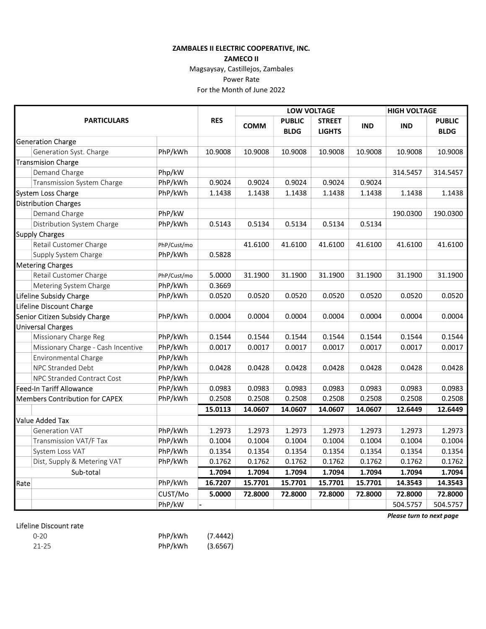## ZAMBALES II ELECTRIC COOPERATIVE, INC.

## ZAMECO II

Magsaysay, Castillejos, Zambales

Power Rate

For the Month of June 2022

| <b>PARTICULARS</b>                    |             | <b>RES</b> | <b>LOW VOLTAGE</b> |               |               |            | <b>HIGH VOLTAGE</b> |               |
|---------------------------------------|-------------|------------|--------------------|---------------|---------------|------------|---------------------|---------------|
|                                       |             |            | <b>COMM</b>        | <b>PUBLIC</b> | <b>STREET</b> | <b>IND</b> | <b>IND</b>          | <b>PUBLIC</b> |
|                                       |             |            |                    | <b>BLDG</b>   | <b>LIGHTS</b> |            |                     | <b>BLDG</b>   |
| <b>Generation Charge</b>              |             |            |                    |               |               |            |                     |               |
| Generation Syst. Charge               | PhP/kWh     | 10.9008    | 10.9008            | 10.9008       | 10.9008       | 10.9008    | 10.9008             | 10.9008       |
| <b>Transmision Charge</b>             |             |            |                    |               |               |            |                     |               |
| Demand Charge                         | Php/kW      |            |                    |               |               |            | 314.5457            | 314.5457      |
| Transmission System Charge            | PhP/kWh     | 0.9024     | 0.9024             | 0.9024        | 0.9024        | 0.9024     |                     |               |
| System Loss Charge                    | PhP/kWh     | 1.1438     | 1.1438             | 1.1438        | 1.1438        | 1.1438     | 1.1438              | 1.1438        |
| Distribution Charges                  |             |            |                    |               |               |            |                     |               |
| Demand Charge                         | PhP/kW      |            |                    |               |               |            | 190.0300            | 190.0300      |
| Distribution System Charge            | PhP/kWh     | 0.5143     | 0.5134             | 0.5134        | 0.5134        | 0.5134     |                     |               |
| Supply Charges                        |             |            |                    |               |               |            |                     |               |
| Retail Customer Charge                | PhP/Cust/mo |            | 41.6100            | 41.6100       | 41.6100       | 41.6100    | 41.6100             | 41.6100       |
| Supply System Charge                  | PhP/kWh     | 0.5828     |                    |               |               |            |                     |               |
| <b>Metering Charges</b>               |             |            |                    |               |               |            |                     |               |
| Retail Customer Charge                | PhP/Cust/mo | 5.0000     | 31.1900            | 31.1900       | 31.1900       | 31.1900    | 31.1900             | 31.1900       |
| Metering System Charge                | PhP/kWh     | 0.3669     |                    |               |               |            |                     |               |
| Lifeline Subsidy Charge               | PhP/kWh     | 0.0520     | 0.0520             | 0.0520        | 0.0520        | 0.0520     | 0.0520              | 0.0520        |
| Lifeline Discount Charge              |             |            |                    |               |               |            |                     |               |
| Senior Citizen Subsidy Charge         | PhP/kWh     | 0.0004     | 0.0004             | 0.0004        | 0.0004        | 0.0004     | 0.0004              | 0.0004        |
| <b>Universal Charges</b>              |             |            |                    |               |               |            |                     |               |
| Missionary Charge Reg                 | PhP/kWh     | 0.1544     | 0.1544             | 0.1544        | 0.1544        | 0.1544     | 0.1544              | 0.1544        |
| Missionary Charge - Cash Incentive    | PhP/kWh     | 0.0017     | 0.0017             | 0.0017        | 0.0017        | 0.0017     | 0.0017              | 0.0017        |
| Environmental Charge                  | PhP/kWh     |            |                    |               |               |            |                     |               |
| NPC Stranded Debt                     | PhP/kWh     | 0.0428     | 0.0428             | 0.0428        | 0.0428        | 0.0428     | 0.0428              | 0.0428        |
| NPC Stranded Contract Cost            | PhP/kWh     |            |                    |               |               |            |                     |               |
| <b>Feed-In Tariff Allowance</b>       | PhP/kWh     | 0.0983     | 0.0983             | 0.0983        | 0.0983        | 0.0983     | 0.0983              | 0.0983        |
| <b>Members Contribution for CAPEX</b> | PhP/kWh     | 0.2508     | 0.2508             | 0.2508        | 0.2508        | 0.2508     | 0.2508              | 0.2508        |
|                                       |             | 15.0113    | 14.0607            | 14.0607       | 14.0607       | 14.0607    | 12.6449             | 12.6449       |
| <b>Value Added Tax</b>                |             |            |                    |               |               |            |                     |               |
| <b>Generation VAT</b>                 | PhP/kWh     | 1.2973     | 1.2973             | 1.2973        | 1.2973        | 1.2973     | 1.2973              | 1.2973        |
| Transmission VAT/F Tax                | PhP/kWh     | 0.1004     | 0.1004             | 0.1004        | 0.1004        | 0.1004     | 0.1004              | 0.1004        |
| System Loss VAT                       | PhP/kWh     | 0.1354     | 0.1354             | 0.1354        | 0.1354        | 0.1354     | 0.1354              | 0.1354        |
| Dist, Supply & Metering VAT           | PhP/kWh     | 0.1762     | 0.1762             | 0.1762        | 0.1762        | 0.1762     | 0.1762              | 0.1762        |
| Sub-total                             |             | 1.7094     | 1.7094             | 1.7094        | 1.7094        | 1.7094     | 1.7094              | 1.7094        |
| Rate                                  | PhP/kWh     | 16.7207    | 15.7701            | 15.7701       | 15.7701       | 15.7701    | 14.3543             | 14.3543       |
|                                       | CUST/Mo     | 5.0000     | 72.8000            | 72.8000       | 72.8000       | 72.8000    | 72.8000             | 72.8000       |
|                                       | PhP/kW      |            |                    |               |               |            | 504.5757            | 504.5757      |

## Lifeline Discount rate

| $0 - 20$ | PhP/kWh | (7.4442) |
|----------|---------|----------|
| 21-25    | PhP/kWh | (3.6567) |

Please turn to next page